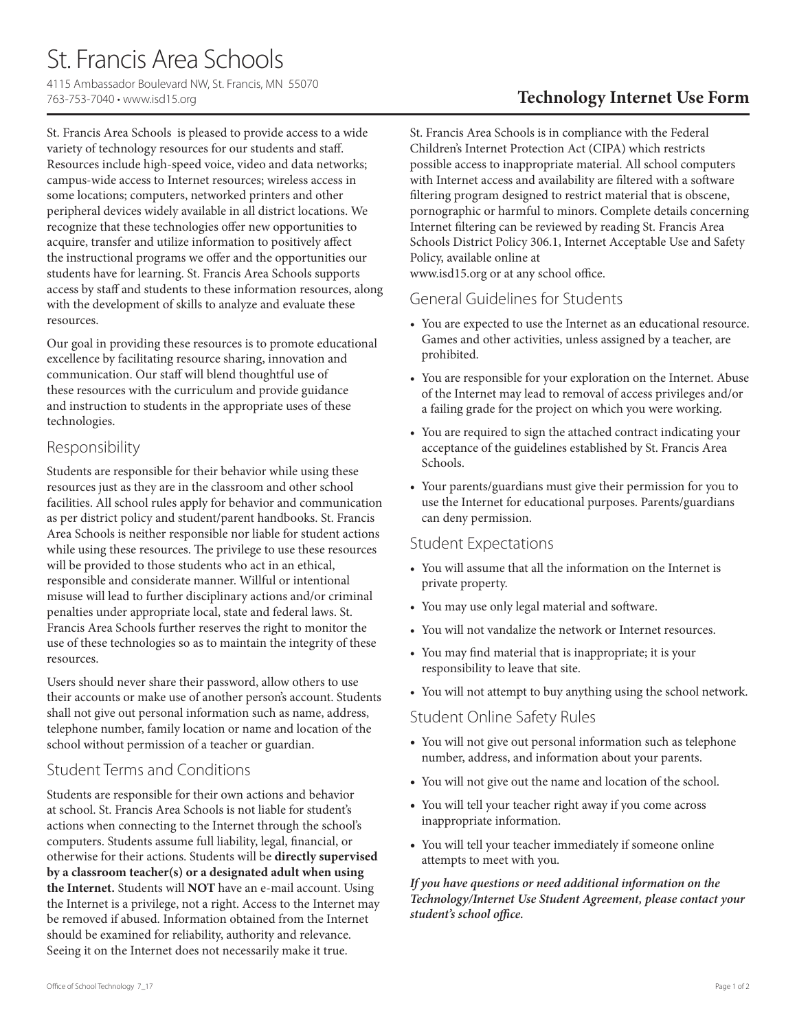# St. Francis Area Schools

4115 Ambassador Boulevard NW, St. Francis, MN 55070 763-753-7040 • www.isd15.org

St. Francis Area Schools is pleased to provide access to a wide variety of technology resources for our students and staff. Resources include high-speed voice, video and data networks; campus-wide access to Internet resources; wireless access in some locations; computers, networked printers and other peripheral devices widely available in all district locations. We recognize that these technologies offer new opportunities to acquire, transfer and utilize information to positively affect the instructional programs we offer and the opportunities our students have for learning. St. Francis Area Schools supports access by staff and students to these information resources, along with the development of skills to analyze and evaluate these resources.

Our goal in providing these resources is to promote educational excellence by facilitating resource sharing, innovation and communication. Our staff will blend thoughtful use of these resources with the curriculum and provide guidance and instruction to students in the appropriate uses of these technologies.

#### Responsibility

Students are responsible for their behavior while using these resources just as they are in the classroom and other school facilities. All school rules apply for behavior and communication as per district policy and student/parent handbooks. St. Francis Area Schools is neither responsible nor liable for student actions while using these resources. The privilege to use these resources will be provided to those students who act in an ethical, responsible and considerate manner. Willful or intentional misuse will lead to further disciplinary actions and/or criminal penalties under appropriate local, state and federal laws. St. Francis Area Schools further reserves the right to monitor the use of these technologies so as to maintain the integrity of these resources.

Users should never share their password, allow others to use their accounts or make use of another person's account. Students shall not give out personal information such as name, address, telephone number, family location or name and location of the school without permission of a teacher or guardian.

### Student Terms and Conditions

Students are responsible for their own actions and behavior at school. St. Francis Area Schools is not liable for student's actions when connecting to the Internet through the school's computers. Students assume full liability, legal, financial, or otherwise for their actions. Students will be **directly supervised by a classroom teacher(s) or a designated adult when using the Internet.** Students will **NOT** have an e-mail account. Using the Internet is a privilege, not a right. Access to the Internet may be removed if abused. Information obtained from the Internet should be examined for reliability, authority and relevance. Seeing it on the Internet does not necessarily make it true.

## **Technology Internet Use Form**

St. Francis Area Schools is in compliance with the Federal Children's Internet Protection Act (CIPA) which restricts possible access to inappropriate material. All school computers with Internet access and availability are filtered with a software filtering program designed to restrict material that is obscene, pornographic or harmful to minors. Complete details concerning Internet filtering can be reviewed by reading St. Francis Area Schools District Policy 306.1, Internet Acceptable Use and Safety Policy, available online at

www.isd15.org or at any school office.

### General Guidelines for Students

- You are expected to use the Internet as an educational resource. Games and other activities, unless assigned by a teacher, are prohibited.
- You are responsible for your exploration on the Internet. Abuse of the Internet may lead to removal of access privileges and/or a failing grade for the project on which you were working.
- You are required to sign the attached contract indicating your acceptance of the guidelines established by St. Francis Area Schools.
- Your parents/guardians must give their permission for you to use the Internet for educational purposes. Parents/guardians can deny permission.

### Student Expectations

- You will assume that all the information on the Internet is private property.
- You may use only legal material and software.
- You will not vandalize the network or Internet resources.
- You may find material that is inappropriate; it is your responsibility to leave that site.
- You will not attempt to buy anything using the school network.

### Student Online Safety Rules

- You will not give out personal information such as telephone number, address, and information about your parents.
- You will not give out the name and location of the school.
- You will tell your teacher right away if you come across inappropriate information.
- You will tell your teacher immediately if someone online attempts to meet with you.

#### *If you have questions or need additional information on the Technology/Internet Use Student Agreement, please contact your student's school office.*